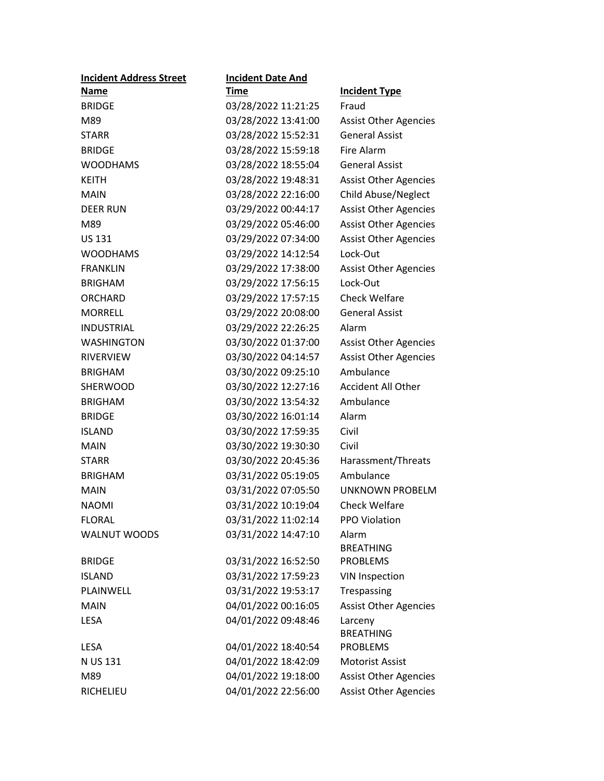| <b>Incident Address Street</b> | <b>Incident Date And</b> |                              |
|--------------------------------|--------------------------|------------------------------|
| <b>Name</b>                    | Time                     | <b>Incident Type</b>         |
| <b>BRIDGE</b>                  | 03/28/2022 11:21:25      | Fraud                        |
| M89                            | 03/28/2022 13:41:00      | <b>Assist Other Agencies</b> |
| <b>STARR</b>                   | 03/28/2022 15:52:31      | <b>General Assist</b>        |
| <b>BRIDGE</b>                  | 03/28/2022 15:59:18      | <b>Fire Alarm</b>            |
| <b>WOODHAMS</b>                | 03/28/2022 18:55:04      | <b>General Assist</b>        |
| <b>KEITH</b>                   | 03/28/2022 19:48:31      | <b>Assist Other Agencies</b> |
| <b>MAIN</b>                    | 03/28/2022 22:16:00      | Child Abuse/Neglect          |
| <b>DEER RUN</b>                | 03/29/2022 00:44:17      | <b>Assist Other Agencies</b> |
| M89                            | 03/29/2022 05:46:00      | <b>Assist Other Agencies</b> |
| <b>US 131</b>                  | 03/29/2022 07:34:00      | <b>Assist Other Agencies</b> |
| <b>WOODHAMS</b>                | 03/29/2022 14:12:54      | Lock-Out                     |
| <b>FRANKLIN</b>                | 03/29/2022 17:38:00      | <b>Assist Other Agencies</b> |
| <b>BRIGHAM</b>                 | 03/29/2022 17:56:15      | Lock-Out                     |
| ORCHARD                        | 03/29/2022 17:57:15      | <b>Check Welfare</b>         |
| <b>MORRELL</b>                 | 03/29/2022 20:08:00      | <b>General Assist</b>        |
| <b>INDUSTRIAL</b>              | 03/29/2022 22:26:25      | Alarm                        |
| <b>WASHINGTON</b>              | 03/30/2022 01:37:00      | <b>Assist Other Agencies</b> |
| <b>RIVERVIEW</b>               | 03/30/2022 04:14:57      | <b>Assist Other Agencies</b> |
| <b>BRIGHAM</b>                 | 03/30/2022 09:25:10      | Ambulance                    |
| <b>SHERWOOD</b>                | 03/30/2022 12:27:16      | <b>Accident All Other</b>    |
| <b>BRIGHAM</b>                 | 03/30/2022 13:54:32      | Ambulance                    |
| <b>BRIDGE</b>                  | 03/30/2022 16:01:14      | Alarm                        |
| <b>ISLAND</b>                  | 03/30/2022 17:59:35      | Civil                        |
| <b>MAIN</b>                    | 03/30/2022 19:30:30      | Civil                        |
| <b>STARR</b>                   | 03/30/2022 20:45:36      | Harassment/Threats           |
| <b>BRIGHAM</b>                 | 03/31/2022 05:19:05      | Ambulance                    |
| <b>MAIN</b>                    | 03/31/2022 07:05:50      | UNKNOWN PROBELM              |
| <b>NAOMI</b>                   | 03/31/2022 10:19:04      | <b>Check Welfare</b>         |
| <b>FLORAL</b>                  | 03/31/2022 11:02:14      | <b>PPO Violation</b>         |
| <b>WALNUT WOODS</b>            | 03/31/2022 14:47:10      | Alarm                        |
|                                |                          | <b>BREATHING</b>             |
| <b>BRIDGE</b>                  | 03/31/2022 16:52:50      | <b>PROBLEMS</b>              |
| <b>ISLAND</b>                  | 03/31/2022 17:59:23      | <b>VIN Inspection</b>        |
| PLAINWELL                      | 03/31/2022 19:53:17      | Trespassing                  |
| <b>MAIN</b>                    | 04/01/2022 00:16:05      | <b>Assist Other Agencies</b> |
| <b>LESA</b>                    | 04/01/2022 09:48:46      | Larceny                      |
|                                |                          | <b>BREATHING</b>             |
| <b>LESA</b>                    | 04/01/2022 18:40:54      | <b>PROBLEMS</b>              |
| N US 131                       | 04/01/2022 18:42:09      | <b>Motorist Assist</b>       |
| M89                            | 04/01/2022 19:18:00      | <b>Assist Other Agencies</b> |
| RICHELIEU                      | 04/01/2022 22:56:00      | <b>Assist Other Agencies</b> |